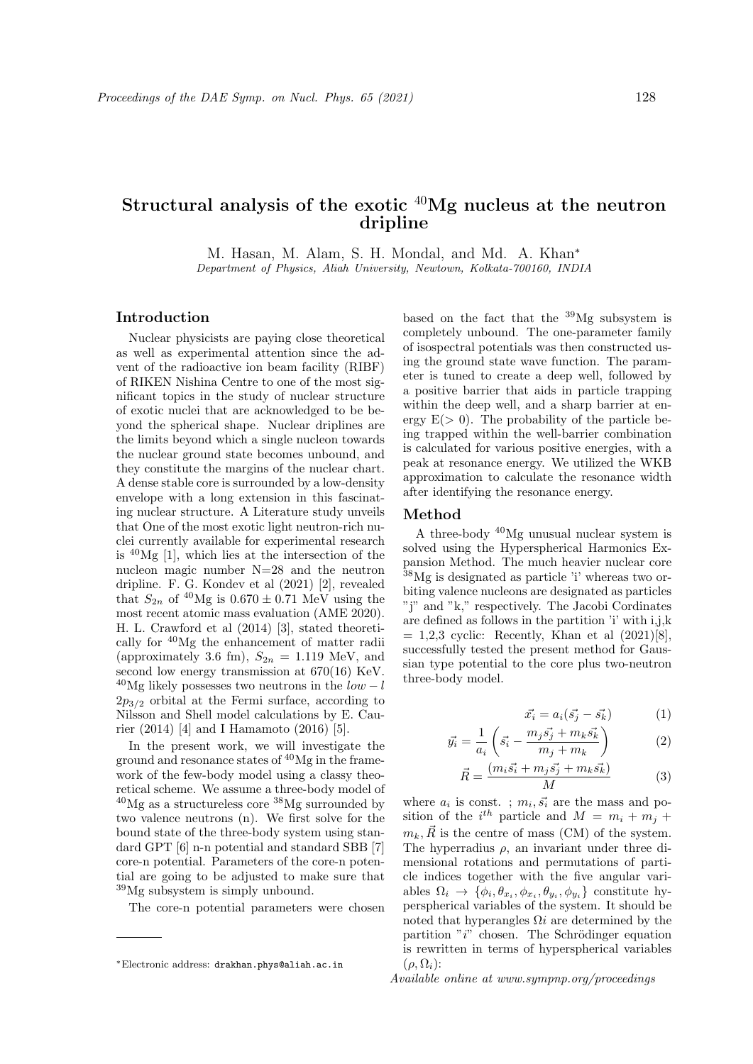# Structural analysis of the exotic  $40$ Mg nucleus at the neutron dripline

M. Hasan, M. Alam, S. H. Mondal, and Md. A. Khan<sup>∗</sup>

Department of Physics, Aliah University, Newtown, Kolkata-700160, INDIA

# Introduction

Nuclear physicists are paying close theoretical as well as experimental attention since the advent of the radioactive ion beam facility (RIBF) of RIKEN Nishina Centre to one of the most significant topics in the study of nuclear structure of exotic nuclei that are acknowledged to be beyond the spherical shape. Nuclear driplines are the limits beyond which a single nucleon towards the nuclear ground state becomes unbound, and they constitute the margins of the nuclear chart. A dense stable core is surrounded by a low-density envelope with a long extension in this fascinating nuclear structure. A Literature study unveils that One of the most exotic light neutron-rich nuclei currently available for experimental research is  $^{40}Mg$  [1], which lies at the intersection of the nucleon magic number N=28 and the neutron dripline. F. G. Kondev et al (2021) [2], revealed that  $S_{2n}$  of <sup>40</sup>Mg is  $0.670 \pm 0.71$  MeV using the most recent atomic mass evaluation (AME 2020). H. L. Crawford et al (2014) [3], stated theoretically for <sup>40</sup>Mg the enhancement of matter radii (approximately 3.6 fm),  $S_{2n} = 1.119$  MeV, and second low energy transmission at 670(16) KeV.  $^{40}$ Mg likely possesses two neutrons in the  $low-l$  $2p_{3/2}$  orbital at the Fermi surface, according to Nilsson and Shell model calculations by E. Caurier (2014) [4] and I Hamamoto (2016) [5].

In the present work, we will investigate the ground and resonance states of  ${}^{40}Mg$  in the framework of the few-body model using a classy theoretical scheme. We assume a three-body model of  $^{40}$ Mg as a structureless core  $^{38}$ Mg surrounded by two valence neutrons (n). We first solve for the bound state of the three-body system using standard GPT [6] n-n potential and standard SBB [7] core-n potential. Parameters of the core-n potential are going to be adjusted to make sure that <sup>39</sup>Mg subsystem is simply unbound.

The core-n potential parameters were chosen

based on the fact that the  $^{39}Mg$  subsystem is completely unbound. The one-parameter family of isospectral potentials was then constructed using the ground state wave function. The parameter is tuned to create a deep well, followed by a positive barrier that aids in particle trapping within the deep well, and a sharp barrier at energy  $E(> 0)$ . The probability of the particle being trapped within the well-barrier combination is calculated for various positive energies, with a peak at resonance energy. We utilized the WKB approximation to calculate the resonance width after identifying the resonance energy.

#### Method

A three-body <sup>40</sup>Mg unusual nuclear system is solved using the Hyperspherical Harmonics Expansion Method. The much heavier nuclear core <sup>38</sup>Mg is designated as particle 'i' whereas two orbiting valence nucleons are designated as particles "j" and "k," respectively. The Jacobi Cordinates are defined as follows in the partition 'i' with i,j,k  $= 1,2,3$  cyclic: Recently, Khan et al  $(2021)[8]$ , successfully tested the present method for Gaussian type potential to the core plus two-neutron three-body model.

$$
\vec{x_i} = a_i(\vec{s_j} - \vec{s_k})\tag{1}
$$

$$
\vec{y_i} = \frac{1}{a_i} \left( \vec{s_i} - \frac{m_j \vec{s_j} + m_k \vec{s_k}}{m_j + m_k} \right) \tag{2}
$$

$$
\vec{R} = \frac{(m_i \vec{s_i} + m_j \vec{s_j} + m_k \vec{s_k})}{M} \tag{3}
$$

where  $a_i$  is const.;  $m_i, \vec{s_i}$  are the mass and position of the  $i^{th}$  particle and  $M = m_i + m_j +$  $m_k, \overrightarrow{R}$  is the centre of mass (CM) of the system. The hyperradius  $\rho$ , an invariant under three dimensional rotations and permutations of particle indices together with the five angular variables  $\Omega_i \to \{\phi_i, \theta_{x_i}, \phi_{x_i}, \theta_{y_i}, \phi_{y_i}\}\)$  constitute hyperspherical variables of the system. It should be noted that hyperangles  $\Omega i$  are determined by the partition " $i$ " chosen. The Schrödinger equation is rewritten in terms of hyperspherical variables  $(\rho, \Omega_i)$ :

Available online at www.sympnp.org/proceedings

<sup>∗</sup>Electronic address: drakhan.phys@aliah.ac.in